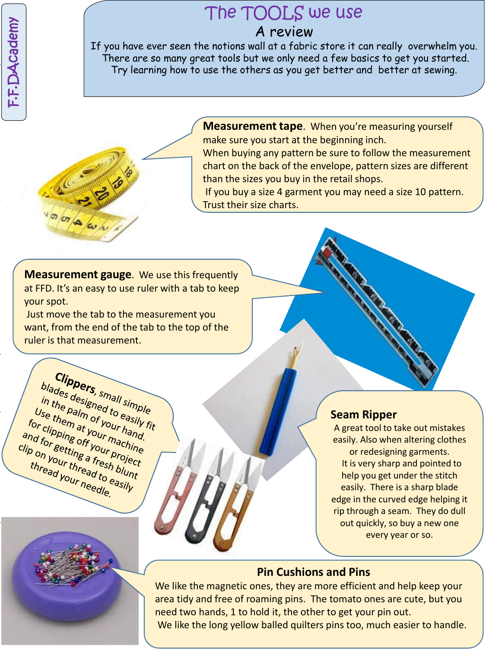F.F.DAcademy F.F.DAcademy

# The TOOLS we use A review

If you have ever seen the notions wall at a fabric store it can really overwhelm you. There are so many great tools but we only need a few basics to get you started. Try learning how to use the others as you get better and better at sewing.



**Measurement tape**. When you're measuring yourself make sure you start at the beginning inch.

When buying any pattern be sure to follow the measurement chart on the back of the envelope, pattern sizes are different than the sizes you buy in the retail shops.

If you buy a size 4 garment you may need a size 10 pattern. Trust their size charts.

**Measurement gauge**. We use this frequently at FFD. It's an easy to use ruler with a tab to keep your spot.

Just move the tab to the measurement you want, from the end of the tab to the top of the ruler is that measurement.

**Clippers**, small simple<br>the palm of to easily<br>the palm of to easily **Clippers**, small simple<br>in the palm of to easily fit<br>Jse them at to easily fit<br>r clipping t your r hand olades Cars, small simple<br>in the palm of your hand.<br>Jse them at your hand.<br>r clipping tyour hand.<br>I for es of your machin. In the aesigned to easily<br>Use them at your hand.<br>Or clipping at your hand.<br>In for getting off your machine<br>In for getting a fract project Use them at your hand.<br>For clipping at your hand.<br>And for getting off your machine.<br>Ip on your ing a fresh blun:<br>thread, thread, blun: or clipping type your hand<br>and for getting a fresh ine<br>clip on your thread to estimate<br>thread your head to easil. and for Ping off your machin<br>Clip on your thread to easily<br>thread your mead to easily thread your needle.

# **[Seam R](http://www.google.com/imgres?imgurl=http://3.bp.blogspot.com/-yjQMNXdsK6g/T_42Z622qRI/AAAAAAAAGVk/AvgUiWlEavQ/s1600/IMG_0354.JPG&imgrefurl=http://www.funlipstick.ga/gallery/sewing-tools-and-equipment-checklist.html&h=1200&w=1600&tbnid=tzsm1JPLbXBuVM:&docid=0wenP65gQHKbKM&ei=_H4MVtOYH4ew-wGT24DgCw&tbm=isch&ved=0CF4QMyhbMFs4rAJqFQoTCNOGouWCoMgCFQfYPgodky0AvA)ipper**

A great tool to take out mistakes easily. Also when altering clothes or redesigning garments. It is very sharp and pointed to help you get under the stitch easily. There is a sharp blade edge in the curved edge helping it rip through a seam. They do dull out quickly, so buy a new one every year or so.

# **Pin Cushions and Pins**

We like the magnetic ones, they are more efficient and help keep your area tidy and free of roaming pins. The tomato ones are cute, but you need two hands, 1 to hold it, the other to get your pin out. We like the long yellow balled quilters pins too, much easier to handle.